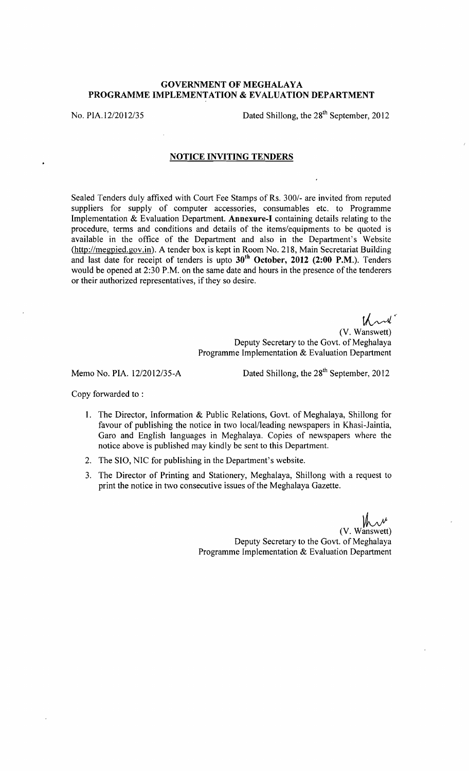## GOVERNMENT OF MEGHALAYA PROGRAMME IMPLEMENTATION & EVALUATION DEPARTMENT

No. PIA.12/2012/35 Dated Shillong, the 28<sup>th</sup> September, 2012

## NOTICE INVITING TENDERS

Sealed Tenders duly affixed with Court Fee Stamps of Rs. 300/- are invited from reputed suppliers for supply of computer accessories, consumables etc. to Programme Implementation & Evaluation Department. Annexure-I containing details relating to the procedure, terms and conditions and details of the items/equipments to be quoted is available in the office of the Department and also in the Department's Website (http://megpied.gov.in). A tender box is kept in Room No. 218, Main Secretariat Building and last date for receipt of tenders is upto  $30<sup>th</sup>$  October, 2012 (2:00 P.M.). Tenders would be opened at 2:30 P.M. on the same date and hours in the presence of the tenderers or their authorized representatives, if they so desire.

> $\mathcal{U}^*$ (V. Wanswett) Deputy Secretary to the Govt. of Meghalaya Programme Implementation & Evaluation Department

Memo No. PIA.  $12/2012/35-A$  Dated Shillong, the  $28<sup>th</sup>$  September, 2012

Copy forwarded to :

- 1. The Director, Information & Public Relations, Govt. of Meghalaya, Shillong for favour of publishing the notice in two local/leading newspapers in Khasi-Jaintia, Garo and English languages in Meghalaya. Copies of newspapers where the notice above is published may kindly be sent to this Department.
- 2. The SIO, NIC for publishing in the Department's website.
- 3. The Director of Printing and Stationery, Meghalaya, Shillong with a request to print the notice in two consecutive issues of the Meghalaya Gazette.

(V. Wanswett) Deputy Secretary to the Govt. of Meghalaya Programme Implementation & Evaluation Department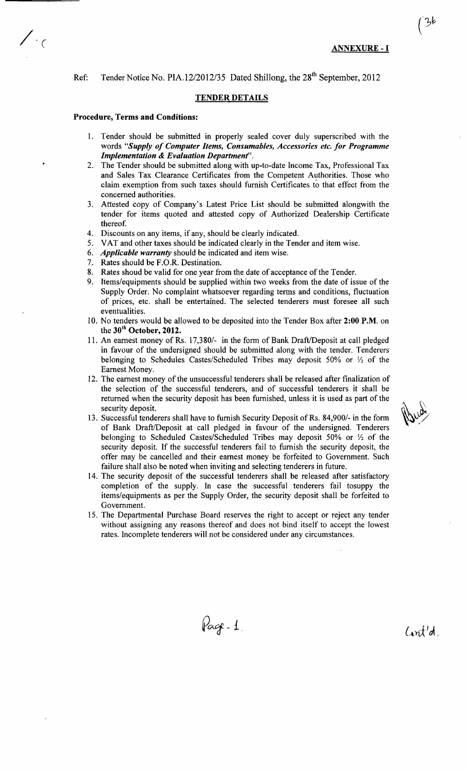Ref: Tender Notice No. PIA.12/2012/35 Dated Shillong, the 28<sup>th</sup> September, 2012

## TENDER DETAILS

## Procedure, Terms and Conditions:

 $\big($ 

- 1. Tender should be submitted in properly sealed cover duly superscribed with the words *"Supply of Computer Items, Consumables, Accessories etc. for Programme Implementation* & *Evaluation Department".*
- 2. The Tender should be submitted along with up-to-date Income Tax, Professional Tax and Sales Tax Clearance Certificates from the Competent Authorities. Those who claim exemption from such taxes should furnish Certificates to that effect from the concerned authorities.
- 3. Attested copy of Company's Latest Price List should be submitted alongwith the tender for items quoted and attested copy of Authorized Dealership Certificate thereof.
- 4. Discounts on any items, if any, should be clearly indicated.
- 5. VAT and other taxes should be indicated clearly in the Tender and item wise.
- 6. *Applicable warranty* should be indicated and item wise.
- 7. Rates should be F.O.R. Destination.
- 8. Rates shoud be valid for one year from the date of acceptance of the Tender.
- 9. Items/equipments should be supplied within two weeks from the date of issue of the Supply Order. No complaint whatsoever regarding terms and conditions, fluctuation of prices, etc. shall be entertained. The selected tenderers must foresee all such eventualities.
- 10. No tenders would be allowed to be deposited into the Tender Box after 2:00 P.M. on the  $30<sup>th</sup>$  October, 2012.
- 11. An earnest money of Rs. 17,380/- in the form of Bank Draft/Deposit at call pledged in favour of the undersigned should be submitted along with the tender. Tenderers belonging to Schedules Castes/Scheduled Tribes may deposit 50% or *Yz* of the Earnest Money.
- 12. The earnest money of the unsuccessful tenderers shall be released after finalization of the selection of the successful tenderers, and of successful tenderers it shall be returned when the security deposit has been furnished, unless it is used as part of the security deposit.
- 13. Successful tenderers shall have to furnish Security Deposit ofRs. 84,900/- in the form of Bank DraftlDeposit at call pledged in favour of the undersigned. Tenderers belonging to Scheduled Castes/Scheduled Tribes may deposit 50% or *Yz* of the security deposit. If the successful tenderers fail to furnish the security deposit, the offer may be cancelled and their earnest money be forfeited to Government. Such failure shall also be noted when inviting and selecting tenderers in future.
- 14. The security deposit of the successful tenderers shall be released after satisfactory completion of the supply. In case the successful tenderers fail tosuppy the items/equipments as per the Supply Order, the security deposit shall be forfeited to Government.
- 15. The Departmental Purchase Board reserves the right to accept or reject any tender without assigning any reasons thereof and does not bind itself to accept the lowest rates. Incomplete tenderers will not be considered under any circumstances.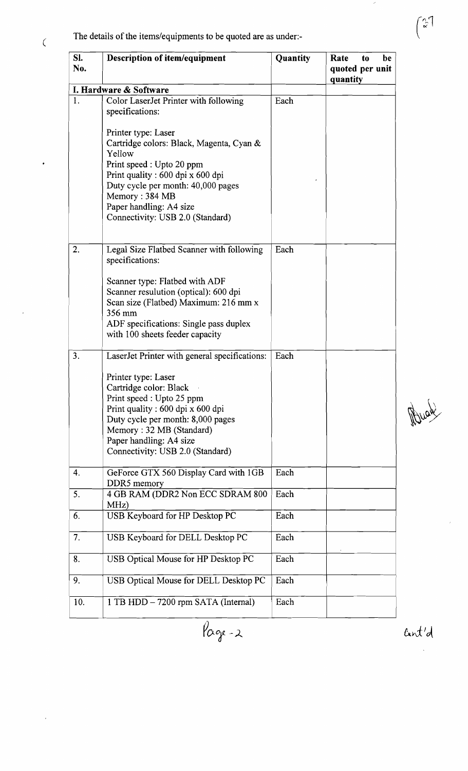The details of the items/equipments to be quoted are as under:-

 $\overline{C}$ 

 $\ddot{\phantom{a}}$ 

| Sl.<br>No. | <b>Description of item/equipment</b>                                                                                                                                                                                                                                                             | Quantity | Rate<br>be<br>to<br>quoted per unit<br>quantity |
|------------|--------------------------------------------------------------------------------------------------------------------------------------------------------------------------------------------------------------------------------------------------------------------------------------------------|----------|-------------------------------------------------|
|            | I. Hardware & Software                                                                                                                                                                                                                                                                           |          |                                                 |
| 1.         | Color LaserJet Printer with following<br>specifications:                                                                                                                                                                                                                                         | Each     |                                                 |
|            | Printer type: Laser<br>Cartridge colors: Black, Magenta, Cyan &<br>Yellow<br>Print speed : Upto 20 ppm<br>Print quality : 600 dpi x 600 dpi<br>Duty cycle per month: 40,000 pages<br>Memory: 384 MB<br>Paper handling: A4 size<br>Connectivity: USB 2.0 (Standard)                               |          |                                                 |
| 2.         | Legal Size Flatbed Scanner with following<br>specifications:<br>Scanner type: Flatbed with ADF<br>Scanner resulution (optical): 600 dpi<br>Scan size (Flatbed) Maximum: 216 mm x<br>356 mm<br>ADF specifications: Single pass duplex                                                             | Each     |                                                 |
|            | with 100 sheets feeder capacity                                                                                                                                                                                                                                                                  |          |                                                 |
| 3.         | LaserJet Printer with general specifications:<br>Printer type: Laser<br>Cartridge color: Black<br>Print speed : Upto 25 ppm<br>Print quality : 600 dpi x 600 dpi<br>Duty cycle per month: 8,000 pages<br>Memory: 32 MB (Standard)<br>Paper handling: A4 size<br>Connectivity: USB 2.0 (Standard) | Each     |                                                 |
| 4.         | GeForce GTX 560 Display Card with 1GB<br>DDR5 memory                                                                                                                                                                                                                                             | Each     |                                                 |
| 5.         | 4 GB RAM (DDR2 Non ECC SDRAM 800<br>MHz)                                                                                                                                                                                                                                                         | Each     |                                                 |
| 6.         | USB Keyboard for HP Desktop PC                                                                                                                                                                                                                                                                   | Each     |                                                 |
| 7.         | USB Keyboard for DELL Desktop PC                                                                                                                                                                                                                                                                 | Each     |                                                 |
| 8.         | USB Optical Mouse for HP Desktop PC                                                                                                                                                                                                                                                              | Each     |                                                 |
| 9.         | USB Optical Mouse for DELL Desktop PC                                                                                                                                                                                                                                                            | Each     |                                                 |
| 10.        | 1 TB HDD – 7200 rpm SATA (Internal)                                                                                                                                                                                                                                                              | Each     |                                                 |

 $\overline{\mathcal{P}_{\alpha_{\mathcal{F}}-2}}$ 

Muck

Cant'd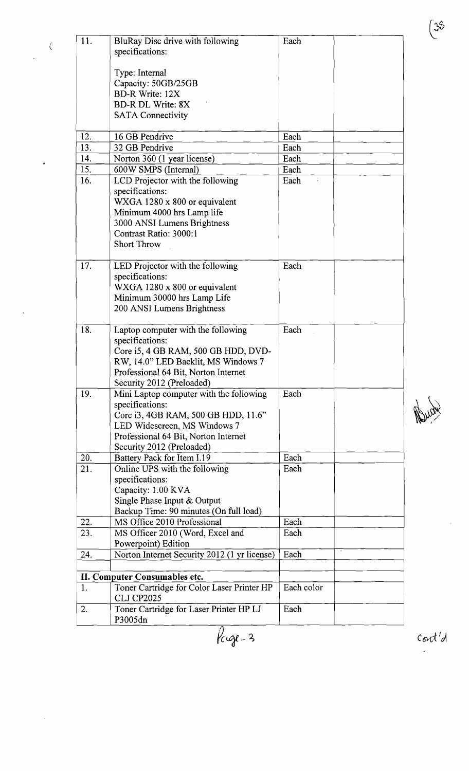| 11. | BluRay Disc drive with following                                | Each       |  |  |  |
|-----|-----------------------------------------------------------------|------------|--|--|--|
|     | specifications:                                                 |            |  |  |  |
|     |                                                                 |            |  |  |  |
|     | Type: Internal                                                  |            |  |  |  |
|     | Capacity: 50GB/25GB                                             |            |  |  |  |
|     | <b>BD-R Write: 12X</b>                                          |            |  |  |  |
|     | <b>BD-R DL Write: 8X</b>                                        |            |  |  |  |
|     | <b>SATA Connectivity</b>                                        |            |  |  |  |
|     |                                                                 |            |  |  |  |
| 12. | 16 GB Pendrive                                                  | Each       |  |  |  |
| 13. | 32 GB Pendrive                                                  | Each       |  |  |  |
| 14. | Norton 360 (1 year license)                                     | Each       |  |  |  |
| 15. | 600W SMPS (Internal)                                            | Each       |  |  |  |
|     |                                                                 |            |  |  |  |
| 16. | LCD Projector with the following                                | Each       |  |  |  |
|     | specifications:                                                 |            |  |  |  |
|     | WXGA 1280 x 800 or equivalent                                   |            |  |  |  |
|     | Minimum 4000 hrs Lamp life                                      |            |  |  |  |
|     | 3000 ANSI Lumens Brightness                                     |            |  |  |  |
|     | Contrast Ratio: 3000:1                                          |            |  |  |  |
|     | <b>Short Throw</b>                                              |            |  |  |  |
|     |                                                                 |            |  |  |  |
| 17. | LED Projector with the following                                | Each       |  |  |  |
|     | specifications:                                                 |            |  |  |  |
|     | WXGA 1280 x 800 or equivalent                                   |            |  |  |  |
|     | Minimum 30000 hrs Lamp Life                                     |            |  |  |  |
|     | 200 ANSI Lumens Brightness                                      |            |  |  |  |
|     |                                                                 |            |  |  |  |
| 18. | Laptop computer with the following                              | Each       |  |  |  |
|     | specifications:                                                 |            |  |  |  |
|     | Core i5, 4 GB RAM, 500 GB HDD, DVD-                             |            |  |  |  |
|     | RW, 14.0" LED Backlit, MS Windows 7                             |            |  |  |  |
|     | Professional 64 Bit, Norton Internet                            |            |  |  |  |
|     | Security 2012 (Preloaded)                                       |            |  |  |  |
| 19. | Mini Laptop computer with the following                         | Each       |  |  |  |
|     | specifications:                                                 |            |  |  |  |
|     | Core i3, 4GB RAM, 500 GB HDD, 11.6"                             |            |  |  |  |
|     | LED Widescreen, MS Windows 7                                    |            |  |  |  |
|     | Professional 64 Bit, Norton Internet                            |            |  |  |  |
|     | Security 2012 (Preloaded)                                       |            |  |  |  |
| 20. | Battery Pack for Item I.19                                      | Each       |  |  |  |
| 21. | Online UPS with the following                                   | Each       |  |  |  |
|     | specifications:                                                 |            |  |  |  |
|     | Capacity: 1.00 KVA                                              |            |  |  |  |
|     | Single Phase Input & Output                                     |            |  |  |  |
|     | Backup Time: 90 minutes (On full load)                          |            |  |  |  |
| 22. | MS Office 2010 Professional                                     | Each       |  |  |  |
| 23. | MS Officer 2010 (Word, Excel and                                | Each       |  |  |  |
|     | Powerpoint) Edition                                             |            |  |  |  |
|     |                                                                 | Each       |  |  |  |
| 24. | Norton Internet Security 2012 (1 yr license)                    |            |  |  |  |
|     |                                                                 |            |  |  |  |
|     | II. Computer Consumables etc.                                   | Each color |  |  |  |
| 1.  | Toner Cartridge for Color Laser Printer HP<br><b>CLJ CP2025</b> |            |  |  |  |
| 2.  | Toner Cartridge for Laser Printer HP LJ                         | Each       |  |  |  |
|     | P3005dn                                                         |            |  |  |  |

 $\overline{a}$ 

 $\overline{$ lege-3

Mugu

 $\binom{35}{ }$ 

 $\cot' d$